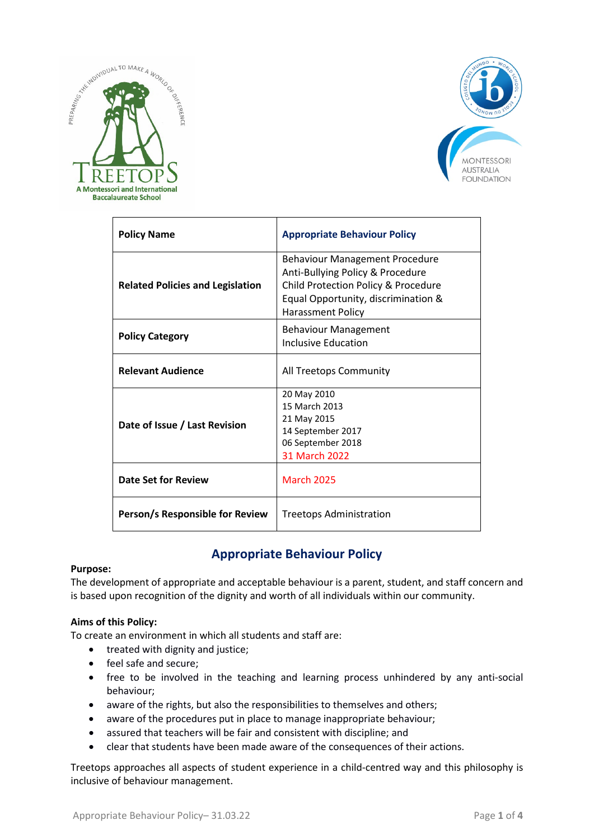



| <b>Policy Name</b>                      | <b>Appropriate Behaviour Policy</b>                                                                                                                                                 |
|-----------------------------------------|-------------------------------------------------------------------------------------------------------------------------------------------------------------------------------------|
| <b>Related Policies and Legislation</b> | <b>Behaviour Management Procedure</b><br>Anti-Bullying Policy & Procedure<br>Child Protection Policy & Procedure<br>Equal Opportunity, discrimination &<br><b>Harassment Policy</b> |
| <b>Policy Category</b>                  | <b>Behaviour Management</b><br>Inclusive Education                                                                                                                                  |
| <b>Relevant Audience</b>                | All Treetops Community                                                                                                                                                              |
| Date of Issue / Last Revision           | 20 May 2010<br>15 March 2013<br>21 May 2015<br>14 September 2017<br>06 September 2018<br>31 March 2022                                                                              |
| Date Set for Review                     | <b>March 2025</b>                                                                                                                                                                   |
| Person/s Responsible for Review         | Treetops Administration                                                                                                                                                             |

# **Appropriate Behaviour Policy**

#### **Purpose:**

The development of appropriate and acceptable behaviour is a parent, student, and staff concern and is based upon recognition of the dignity and worth of all individuals within our community.

#### **Aims of this Policy:**

To create an environment in which all students and staff are:

- treated with dignity and justice;
- feel safe and secure;
- free to be involved in the teaching and learning process unhindered by any anti-social behaviour;
- aware of the rights, but also the responsibilities to themselves and others;
- aware of the procedures put in place to manage inappropriate behaviour;
- assured that teachers will be fair and consistent with discipline; and
- clear that students have been made aware of the consequences of their actions.

Treetops approaches all aspects of student experience in a child-centred way and this philosophy is inclusive of behaviour management.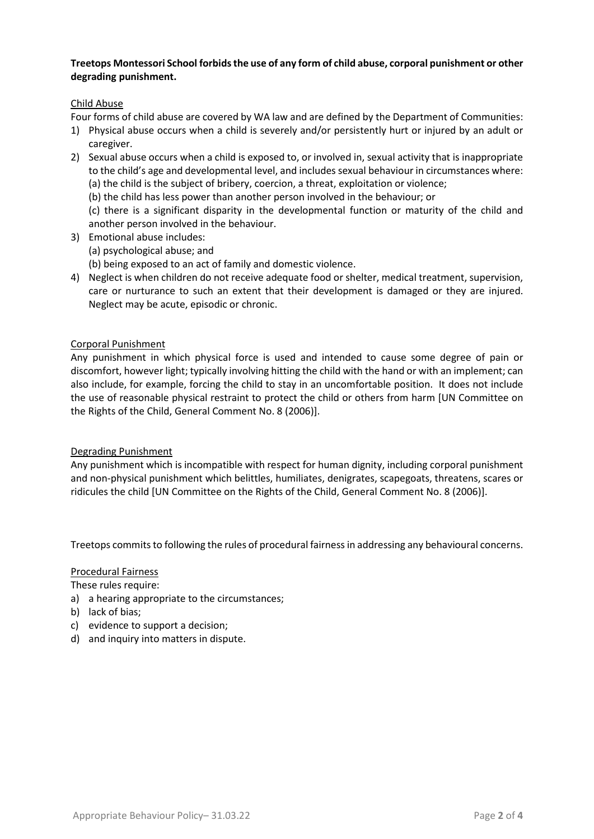# **Treetops Montessori School forbids the use of any form of child abuse, corporal punishment or other degrading punishment.**

# Child Abuse

Four forms of child abuse are covered by WA law and are defined by the Department of Communities:

- 1) Physical abuse occurs when a child is severely and/or persistently hurt or injured by an adult or caregiver.
- 2) Sexual abuse occurs when a child is exposed to, or involved in, sexual activity that is inappropriate to the child's age and developmental level, and includes sexual behaviour in circumstances where: (a) the child is the subject of bribery, coercion, a threat, exploitation or violence;
	- (b) the child has less power than another person involved in the behaviour; or

(c) there is a significant disparity in the developmental function or maturity of the child and another person involved in the behaviour.

- 3) Emotional abuse includes: (a) psychological abuse; and
	- (b) being exposed to an act of family and domestic violence.
- 4) Neglect is when children do not receive adequate food or shelter, medical treatment, supervision, care or nurturance to such an extent that their development is damaged or they are injured. Neglect may be acute, episodic or chronic.

# Corporal Punishment

Any punishment in which physical force is used and intended to cause some degree of pain or discomfort, however light; typically involving hitting the child with the hand or with an implement; can also include, for example, forcing the child to stay in an uncomfortable position. It does not include the use of reasonable physical restraint to protect the child or others from harm [UN Committee on the Rights of the Child, General Comment No. 8 (2006)].

#### Degrading Punishment

Any punishment which is incompatible with respect for human dignity, including corporal punishment and non-physical punishment which belittles, humiliates, denigrates, scapegoats, threatens, scares or ridicules the child [UN Committee on the Rights of the Child, General Comment No. 8 (2006)].

Treetops commits to following the rules of procedural fairness in addressing any behavioural concerns.

#### Procedural Fairness

These rules require:

- a) a hearing appropriate to the circumstances;
- b) lack of bias;
- c) evidence to support a decision;
- d) and inquiry into matters in dispute.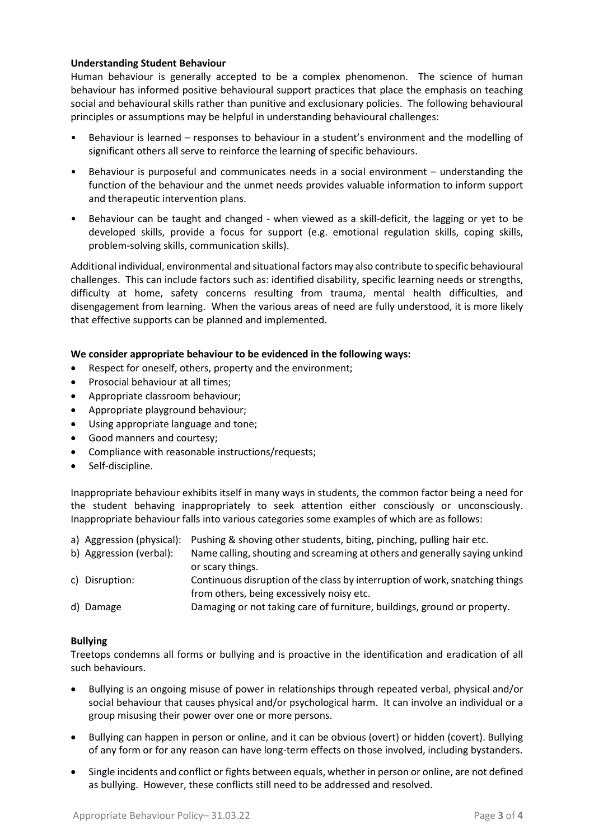# **Understanding Student Behaviour**

Human behaviour is generally accepted to be a complex phenomenon. The science of human behaviour has informed positive behavioural support practices that place the emphasis on teaching social and behavioural skills rather than punitive and exclusionary policies. The following behavioural principles or assumptions may be helpful in understanding behavioural challenges:

- Behaviour is learned responses to behaviour in a student's environment and the modelling of significant others all serve to reinforce the learning of specific behaviours.
- Behaviour is purposeful and communicates needs in a social environment understanding the function of the behaviour and the unmet needs provides valuable information to inform support and therapeutic intervention plans.
- Behaviour can be taught and changed when viewed as a skill-deficit, the lagging or yet to be developed skills, provide a focus for support (e.g. emotional regulation skills, coping skills, problem-solving skills, communication skills).

Additional individual, environmental and situational factors may also contribute to specific behavioural challenges. This can include factors such as: identified disability, specific learning needs or strengths, difficulty at home, safety concerns resulting from trauma, mental health difficulties, and disengagement from learning. When the various areas of need are fully understood, it is more likely that effective supports can be planned and implemented.

# **We consider appropriate behaviour to be evidenced in the following ways:**

- Respect for oneself, others, property and the environment;
- Prosocial behaviour at all times;
- Appropriate classroom behaviour;
- Appropriate playground behaviour;
- Using appropriate language and tone;
- Good manners and courtesy;
- Compliance with reasonable instructions/requests;
- Self-discipline.

Inappropriate behaviour exhibits itself in many ways in students, the common factor being a need for the student behaving inappropriately to seek attention either consciously or unconsciously. Inappropriate behaviour falls into various categories some examples of which are as follows:

- a) Aggression (physical): Pushing & shoving other students, biting, pinching, pulling hair etc.
- b) Aggression (verbal): Name calling, shouting and screaming at others and generally saying unkind or scary things.
- c) Disruption: Continuous disruption of the class by interruption of work, snatching things from others, being excessively noisy etc.
- d) Damage Damaging or not taking care of furniture, buildings, ground or property.

#### **Bullying**

Treetops condemns all forms or bullying and is proactive in the identification and eradication of all such behaviours.

- Bullying is an ongoing misuse of power in relationships through repeated verbal, physical and/or social behaviour that causes physical and/or psychological harm. It can involve an individual or a group misusing their power over one or more persons.
- Bullying can happen in person or online, and it can be obvious (overt) or hidden (covert). Bullying of any form or for any reason can have long-term effects on those involved, including bystanders.
- Single incidents and conflict or fights between equals, whether in person or online, are not defined as bullying. However, these conflicts still need to be addressed and resolved.